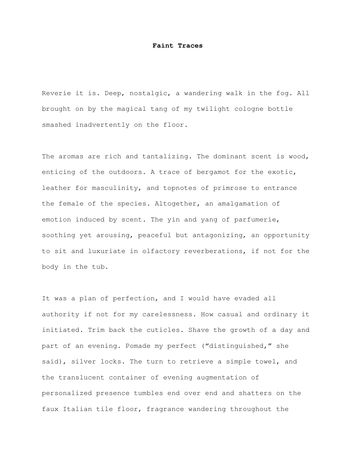## **Faint Traces**

Reverie it is. Deep, nostalgic, a wandering walk in the fog. All brought on by the magical tang of my twilight cologne bottle smashed inadvertently on the floor.

The aromas are rich and tantalizing. The dominant scent is wood, enticing of the outdoors. A trace of bergamot for the exotic, leather for masculinity, and topnotes of primrose to entrance the female of the species. Altogether, an amalgamation of emotion induced by scent. The yin and yang of parfumerie, soothing yet arousing, peaceful but antagonizing, an opportunity to sit and luxuriate in olfactory reverberations, if not for the body in the tub.

It was a plan of perfection, and I would have evaded all authority if not for my carelessness. How casual and ordinary it initiated. Trim back the cuticles. Shave the growth of a day and part of an evening. Pomade my perfect ("distinguished," she said), silver locks. The turn to retrieve a simple towel, and the translucent container of evening augmentation of personalized presence tumbles end over end and shatters on the faux Italian tile floor, fragrance wandering throughout the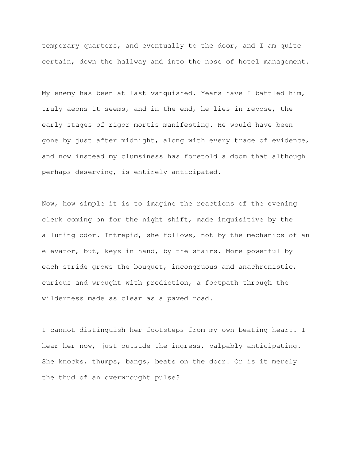temporary quarters, and eventually to the door, and I am quite certain, down the hallway and into the nose of hotel management.

My enemy has been at last vanquished. Years have I battled him, truly aeons it seems, and in the end, he lies in repose, the early stages of rigor mortis manifesting. He would have been gone by just after midnight, along with every trace of evidence, and now instead my clumsiness has foretold a doom that although perhaps deserving, is entirely anticipated.

Now, how simple it is to imagine the reactions of the evening clerk coming on for the night shift, made inquisitive by the alluring odor. Intrepid, she follows, not by the mechanics of an elevator, but, keys in hand, by the stairs. More powerful by each stride grows the bouquet, incongruous and anachronistic, curious and wrought with prediction, a footpath through the wilderness made as clear as a paved road.

I cannot distinguish her footsteps from my own beating heart. I hear her now, just outside the ingress, palpably anticipating. She knocks, thumps, bangs, beats on the door. Or is it merely the thud of an overwrought pulse?